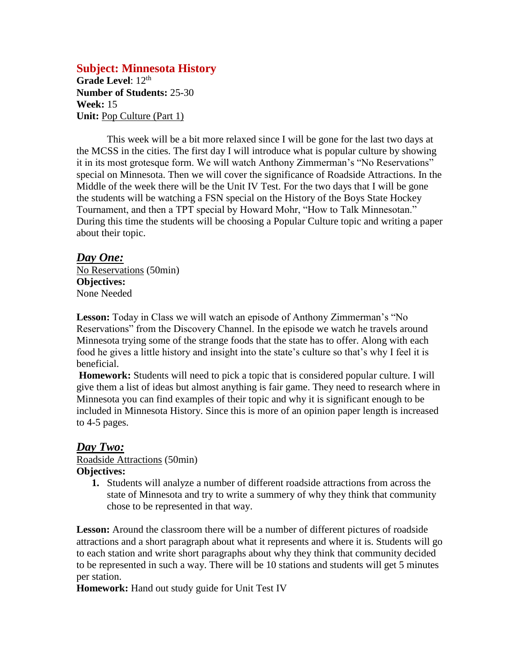### **Subject: Minnesota History**

Grade Level: 12<sup>th</sup> **Number of Students:** 25-30 **Week:** 15 **Unit:** Pop Culture (Part 1)

This week will be a bit more relaxed since I will be gone for the last two days at the MCSS in the cities. The first day I will introduce what is popular culture by showing it in its most grotesque form. We will watch Anthony Zimmerman's "No Reservations" special on Minnesota. Then we will cover the significance of Roadside Attractions. In the Middle of the week there will be the Unit IV Test. For the two days that I will be gone the students will be watching a FSN special on the History of the Boys State Hockey Tournament, and then a TPT special by Howard Mohr, "How to Talk Minnesotan." During this time the students will be choosing a Popular Culture topic and writing a paper about their topic.

#### *Day One:*

No Reservations (50min) **Objectives:** None Needed

**Lesson:** Today in Class we will watch an episode of Anthony Zimmerman's "No Reservations" from the Discovery Channel. In the episode we watch he travels around Minnesota trying some of the strange foods that the state has to offer. Along with each food he gives a little history and insight into the state's culture so that's why I feel it is beneficial.

**Homework:** Students will need to pick a topic that is considered popular culture. I will give them a list of ideas but almost anything is fair game. They need to research where in Minnesota you can find examples of their topic and why it is significant enough to be included in Minnesota History. Since this is more of an opinion paper length is increased to 4-5 pages.

## *Day Two:*

Roadside Attractions (50min)

#### **Objectives:**

**1.** Students will analyze a number of different roadside attractions from across the state of Minnesota and try to write a summery of why they think that community chose to be represented in that way.

Lesson: Around the classroom there will be a number of different pictures of roadside attractions and a short paragraph about what it represents and where it is. Students will go to each station and write short paragraphs about why they think that community decided to be represented in such a way. There will be 10 stations and students will get 5 minutes per station.

**Homework:** Hand out study guide for Unit Test IV